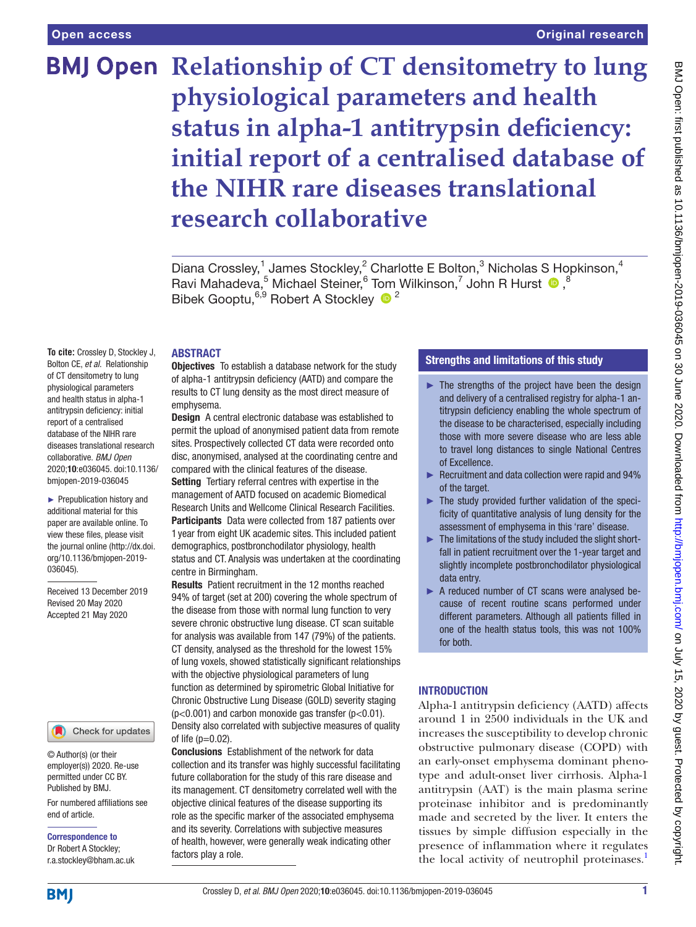# Original research

# **BMJ Open Relationship of CT densitometry to lung physiological parameters and health status in alpha-1 antitrypsin deficiency: initial report of a centralised database of the NIHR rare diseases translational research collaborative**

Diana Crossley,<sup>1</sup> James Stockley,<sup>2</sup> Charlotte E Bolton,<sup>3</sup> Nicholas S Hopkinson,<sup>4</sup> Ravi Mahadeva,<sup>5</sup> Michael Steiner,<sup>6</sup> Tom Wilkinson,<sup>7</sup> John R Hurst <sup>1</sup>,<sup>8</sup> Bibek Gooptu,<sup>6,9</sup> Robert A Stockley <sup>12</sup>

## **ABSTRACT**

**To cite:** Crossley D, Stockley J, Bolton CE, *et al*. Relationship of CT densitometry to lung physiological parameters and health status in alpha-1 antitrypsin deficiency: initial report of a centralised database of the NIHR rare diseases translational research collaborative. *BMJ Open* 2020;10:e036045. doi:10.1136/ bmjopen-2019-036045

► Prepublication history and additional material for this paper are available online. To view these files, please visit the journal online (http://dx.doi. org/10.1136/bmjopen-2019- 036045).

Received 13 December 2019 Revised 20 May 2020 Accepted 21 May 2020

# Check for updates

© Author(s) (or their employer(s)) 2020. Re-use permitted under CC BY. Published by BMJ.

For numbered affiliations see end of article.

Correspondence to Dr Robert A Stockley; r.a.stockley@bham.ac.uk

### **Objectives** To establish a database network for the study of alpha-1 antitrypsin deficiency (AATD) and compare the results to CT lung density as the most direct measure of emphysema.

**Design** A central electronic database was established to permit the upload of anonymised patient data from remote sites. Prospectively collected CT data were recorded onto disc, anonymised, analysed at the coordinating centre and compared with the clinical features of the disease.

Setting Tertiary referral centres with expertise in the management of AATD focused on academic Biomedical Research Units and Wellcome Clinical Research Facilities. Participants Data were collected from 187 patients over 1 year from eight UK academic sites. This included patient demographics, postbronchodilator physiology, health status and CT. Analysis was undertaken at the coordinating centre in Birmingham.

Results Patient recruitment in the 12 months reached 94% of target (set at 200) covering the whole spectrum of the disease from those with normal lung function to very severe chronic obstructive lung disease. CT scan suitable for analysis was available from 147 (79%) of the patients. CT density, analysed as the threshold for the lowest 15% of lung voxels, showed statistically significant relationships with the objective physiological parameters of lung function as determined by spirometric Global Initiative for Chronic Obstructive Lung Disease (GOLD) severity staging  $(p<0.001)$  and carbon monoxide gas transfer  $(p<0.01)$ . Density also correlated with subjective measures of quality of life  $(p=0.02)$ .

Conclusions Establishment of the network for data collection and its transfer was highly successful facilitating future collaboration for the study of this rare disease and its management. CT densitometry correlated well with the objective clinical features of the disease supporting its role as the specific marker of the associated emphysema and its severity. Correlations with subjective measures of health, however, were generally weak indicating other factors play a role.

# Strengths and limitations of this study

- $\blacktriangleright$  The strengths of the project have been the design and delivery of a centralised registry for alpha-1 antitrypsin deficiency enabling the whole spectrum of the disease to be characterised, especially including those with more severe disease who are less able to travel long distances to single National Centres of Excellence.
- ► Recruitment and data collection were rapid and 94% of the target.
- ► The study provided further validation of the specificity of quantitative analysis of lung density for the assessment of emphysema in this 'rare' disease.
- ► The limitations of the study included the slight shortfall in patient recruitment over the 1-year target and slightly incomplete postbronchodilator physiological data entry.
- ► A reduced number of CT scans were analysed because of recent routine scans performed under different parameters. Although all patients filled in one of the health status tools, this was not 100% for both.

# **INTRODUCTION**

Alpha-1 antitrypsin deficiency (AATD) affects around 1 in 2500 individuals in the UK and increases the susceptibility to develop chronic obstructive pulmonary disease (COPD) with an early-onset emphysema dominant phenotype and adult-onset liver cirrhosis. Alpha-1 antitrypsin (AAT) is the main plasma serine proteinase inhibitor and is predominantly made and secreted by the liver. It enters the tissues by simple diffusion especially in the presence of inflammation where it regulates the local activity of neutrophil proteinases.<sup>1</sup>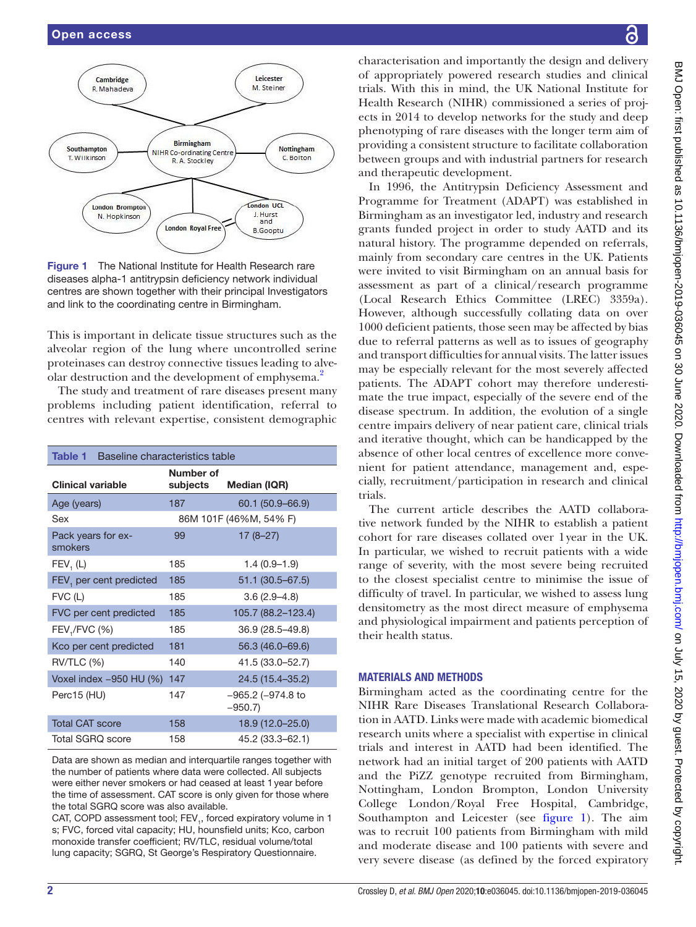

<span id="page-1-0"></span>**Figure 1** The National Institute for Health Research rare diseases alpha-1 antitrypsin deficiency network individual centres are shown together with their principal Investigators and link to the coordinating centre in Birmingham.

This is important in delicate tissue structures such as the alveolar region of the lung where uncontrolled serine proteinases can destroy connective tissues leading to alve-olar destruction and the development of emphysema.<sup>[2](#page-7-1)</sup>

The study and treatment of rare diseases present many problems including patient identification, referral to centres with relevant expertise, consistent demographic

<span id="page-1-1"></span>

| Table 1<br>Baseline characteristics table |                        |                                    |  |  |  |  |
|-------------------------------------------|------------------------|------------------------------------|--|--|--|--|
| <b>Clinical variable</b>                  | Number of<br>subjects  | <b>Median (IQR)</b>                |  |  |  |  |
| Age (years)                               | 187                    | 60.1 (50.9-66.9)                   |  |  |  |  |
| Sex                                       | 86M 101F (46%M, 54% F) |                                    |  |  |  |  |
| Pack years for ex-<br>smokers             | 99                     | $17(8-27)$                         |  |  |  |  |
| FEV, (L)                                  | 185                    | $1.4(0.9-1.9)$                     |  |  |  |  |
| FEV, per cent predicted                   | 185                    | 51.1 (30.5–67.5)                   |  |  |  |  |
| FVC(L)                                    | 185                    | $3.6(2.9 - 4.8)$                   |  |  |  |  |
| FVC per cent predicted                    | 185                    | 105.7 (88.2-123.4)                 |  |  |  |  |
| FEV <sub>1</sub> /FVC (%)                 | 185                    | 36.9 (28.5-49.8)                   |  |  |  |  |
| Kco per cent predicted                    | 181                    | 56.3 (46.0-69.6)                   |  |  |  |  |
| <b>RV/TLC (%)</b>                         | 140                    | 41.5 (33.0-52.7)                   |  |  |  |  |
| Voxel index -950 HU (%)                   | 147                    | 24.5 (15.4-35.2)                   |  |  |  |  |
| Perc15 (HU)                               | 147                    | $-965.2$ ( $-974.8$ to<br>$-950.7$ |  |  |  |  |
| <b>Total CAT score</b>                    | 158                    | 18.9 (12.0-25.0)                   |  |  |  |  |
| <b>Total SGRO score</b>                   | 158                    | 45.2 (33.3-62.1)                   |  |  |  |  |

Data are shown as median and interquartile ranges together with the number of patients where data were collected. All subjects were either never smokers or had ceased at least 1year before the time of assessment. CAT score is only given for those where the total SGRQ score was also available.

CAT, COPD assessment tool; FEV<sub>1</sub>, forced expiratory volume in 1 s; FVC, forced vital capacity; HU, hounsfield units; Kco, carbon monoxide transfer coefficient; RV/TLC, residual volume/total lung capacity; SGRQ, St George's Respiratory Questionnaire.

characterisation and importantly the design and delivery of appropriately powered research studies and clinical trials. With this in mind, the UK National Institute for Health Research (NIHR) commissioned a series of projects in 2014 to develop networks for the study and deep phenotyping of rare diseases with the longer term aim of providing a consistent structure to facilitate collaboration between groups and with industrial partners for research and therapeutic development.

In 1996, the Antitrypsin Deficiency Assessment and Programme for Treatment (ADAPT) was established in Birmingham as an investigator led, industry and research grants funded project in order to study AATD and its natural history. The programme depended on referrals, mainly from secondary care centres in the UK. Patients were invited to visit Birmingham on an annual basis for assessment as part of a clinical/research programme (Local Research Ethics Committee (LREC) 3359a). However, although successfully collating data on over 1000 deficient patients, those seen may be affected by bias due to referral patterns as well as to issues of geography and transport difficulties for annual visits. The latter issues may be especially relevant for the most severely affected patients. The ADAPT cohort may therefore underestimate the true impact, especially of the severe end of the disease spectrum. In addition, the evolution of a single centre impairs delivery of near patient care, clinical trials and iterative thought, which can be handicapped by the absence of other local centres of excellence more convenient for patient attendance, management and, especially, recruitment/participation in research and clinical trials.

The current article describes the AATD collaborative network funded by the NIHR to establish a patient cohort for rare diseases collated over 1year in the UK. In particular, we wished to recruit patients with a wide range of severity, with the most severe being recruited to the closest specialist centre to minimise the issue of difficulty of travel. In particular, we wished to assess lung densitometry as the most direct measure of emphysema and physiological impairment and patients perception of their health status.

# Materials and methods

Birmingham acted as the coordinating centre for the NIHR Rare Diseases Translational Research Collaboration in AATD. Links were made with academic biomedical research units where a specialist with expertise in clinical trials and interest in AATD had been identified. The network had an initial target of 200 patients with AATD and the PiZZ genotype recruited from Birmingham, Nottingham, London Brompton, London University College London/Royal Free Hospital, Cambridge, Southampton and Leicester (see [figure](#page-1-0) 1). The aim was to recruit 100 patients from Birmingham with mild and moderate disease and 100 patients with severe and very severe disease (as defined by the forced expiratory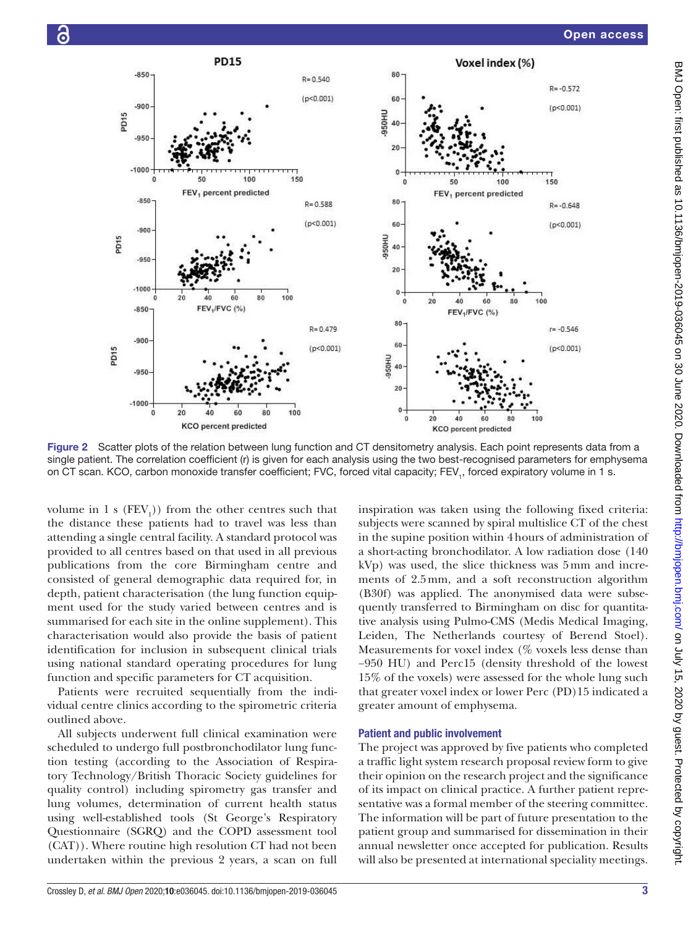

<span id="page-2-0"></span>Figure 2 Scatter plots of the relation between lung function and CT densitometry analysis. Each point represents data from a single patient. The correlation coefficient (r) is given for each analysis using the two best-recognised parameters for emphysema on CT scan. KCO, carbon monoxide transfer coefficient; FVC, forced vital capacity; FEV<sub>1</sub>, forced expiratory volume in 1 s.

volume in 1 s  $(FEV_1)$  from the other centres such that the distance these patients had to travel was less than attending a single central facility. A standard protocol was provided to all centres based on that used in all previous publications from the core Birmingham centre and consisted of general demographic data required for, in depth, patient characterisation (the lung function equipment used for the study varied between centres and is summarised for each site in the [online supplement](https://dx.doi.org/10.1136/bmjopen-2019-036045)). This characterisation would also provide the basis of patient identification for inclusion in subsequent clinical trials using national standard operating procedures for lung function and specific parameters for CT acquisition.

Patients were recruited sequentially from the individual centre clinics according to the spirometric criteria outlined above.

All subjects underwent full clinical examination were scheduled to undergo full postbronchodilator lung function testing (according to the Association of Respiratory Technology/British Thoracic Society guidelines for quality control) including spirometry gas transfer and lung volumes, determination of current health status using well-established tools (St George's Respiratory Questionnaire (SGRQ) and the COPD assessment tool (CAT)). Where routine high resolution CT had not been undertaken within the previous 2 years, a scan on full inspiration was taken using the following fixed criteria: subjects were scanned by spiral multislice CT of the chest in the supine position within 4hours of administration of a short-acting bronchodilator. A low radiation dose (140 kVp) was used, the slice thickness was 5mm and increments of 2.5mm, and a soft reconstruction algorithm (B30f) was applied. The anonymised data were subsequently transferred to Birmingham on disc for quantitative analysis using Pulmo-CMS (Medis Medical Imaging, Leiden, The Netherlands courtesy of Berend Stoel). Measurements for voxel index (% voxels less dense than −950 HU) and Perc15 (density threshold of the lowest 15% of the voxels) were assessed for the whole lung such that greater voxel index or lower Perc (PD)15 indicated a greater amount of emphysema.

## Patient and public involvement

The project was approved by five patients who completed a traffic light system research proposal review form to give their opinion on the research project and the significance of its impact on clinical practice. A further patient representative was a formal member of the steering committee. The information will be part of future presentation to the patient group and summarised for dissemination in their annual newsletter once accepted for publication. Results will also be presented at international speciality meetings.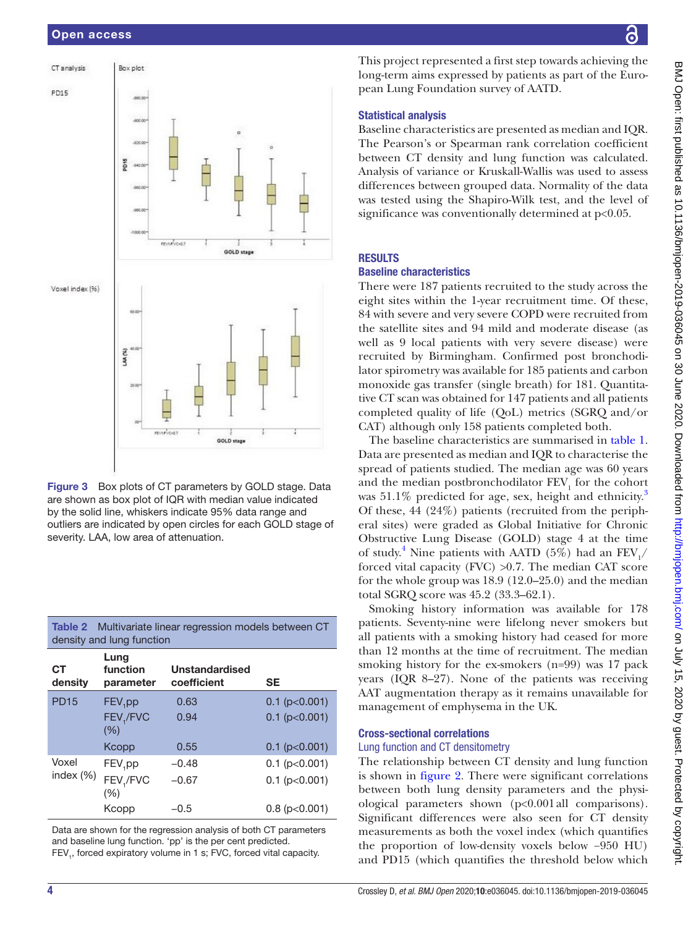# Open access



<span id="page-3-0"></span>Figure 3 Box plots of CT parameters by GOLD stage. Data are shown as box plot of IQR with median value indicated by the solid line, whiskers indicate 95% data range and outliers are indicated by open circles for each GOLD stage of severity. LAA, low area of attenuation.

| density and lung function |                               |                               |                     |  |  |  |
|---------------------------|-------------------------------|-------------------------------|---------------------|--|--|--|
| <b>CT</b><br>density      | Lung<br>function<br>parameter | Unstandardised<br>coefficient | SE                  |  |  |  |
| <b>PD15</b>               | $FEV$ <sub>1</sub> pp         | 0.63                          | $0.1$ (p $<$ 0.001) |  |  |  |
|                           | FEV,/FVC<br>(%)               | 0.94                          | $0.1$ (p $<$ 0.001) |  |  |  |
|                           | Kcopp                         | 0.55                          | $0.1$ (p $<$ 0.001) |  |  |  |
| Voxel<br>index $(\%)$     | FEV <sub>1</sub> pp           | $-0.48$                       | $0.1$ (p $<$ 0.001) |  |  |  |
|                           | FEV,/FVC<br>(%)               | $-0.67$                       | $0.1$ (p<0.001)     |  |  |  |
|                           | Kcopp                         | $-0.5$                        | $0.8$ (p $<$ 0.001) |  |  |  |

<span id="page-3-1"></span>Table 2 Multivariate linear regression models between CT

Data are shown for the regression analysis of both CT parameters and baseline lung function. 'pp' is the per cent predicted. FEV<sub>1</sub>, forced expiratory volume in 1 s; FVC, forced vital capacity.

This project represented a first step towards achieving the long-term aims expressed by patients as part of the European Lung Foundation survey of AATD.

## Statistical analysis

Baseline characteristics are presented as median and IQR. The Pearson's or Spearman rank correlation coefficient between CT density and lung function was calculated. Analysis of variance or Kruskall-Wallis was used to assess differences between grouped data. Normality of the data was tested using the Shapiro-Wilk test, and the level of significance was conventionally determined at  $p<0.05$ .

# **RESULTS**

## Baseline characteristics

There were 187 patients recruited to the study across the eight sites within the 1-year recruitment time. Of these, 84 with severe and very severe COPD were recruited from the satellite sites and 94 mild and moderate disease (as well as 9 local patients with very severe disease) were recruited by Birmingham. Confirmed post bronchodilator spirometry was available for 185 patients and carbon monoxide gas transfer (single breath) for 181. Quantitative CT scan was obtained for 147 patients and all patients completed quality of life (QoL) metrics (SGRQ and/or CAT) although only 158 patients completed both.

The baseline characteristics are summarised in [table](#page-1-1) 1. Data are presented as median and IQR to characterise the spread of patients studied. The median age was 60 years and the median postbronchodilator  $\text{FEV}_1$  for the cohort was  $51.1\%$  predicted for age, sex, height and ethnicity.<sup>[3](#page-7-2)</sup> Of these, 44 (24%) patients (recruited from the peripheral sites) were graded as Global Initiative for Chronic Obstructive Lung Disease (GOLD) stage 4 at the time of study.<sup>[4](#page-7-3)</sup> Nine patients with AATD (5%) had an  $\text{FEV}_1/$ forced vital capacity (FVC)  $>0.7$ . The median CAT score for the whole group was 18.9 (12.0–25.0) and the median total SGRQ score was 45.2 (33.3–62.1).

Smoking history information was available for 178 patients. Seventy-nine were lifelong never smokers but all patients with a smoking history had ceased for more than 12 months at the time of recruitment. The median smoking history for the ex-smokers (n=99) was 17 pack years (IQR 8–27). None of the patients was receiving AAT augmentation therapy as it remains unavailable for management of emphysema in the UK.

#### Cross-sectional correlations

#### Lung function and CT densitometry

The relationship between CT density and lung function is shown in [figure](#page-2-0) 2. There were significant correlations between both lung density parameters and the physiological parameters shown (p<0.001all comparisons). Significant differences were also seen for CT density measurements as both the voxel index (which quantifies the proportion of low-density voxels below −950 HU) and PD15 (which quantifies the threshold below which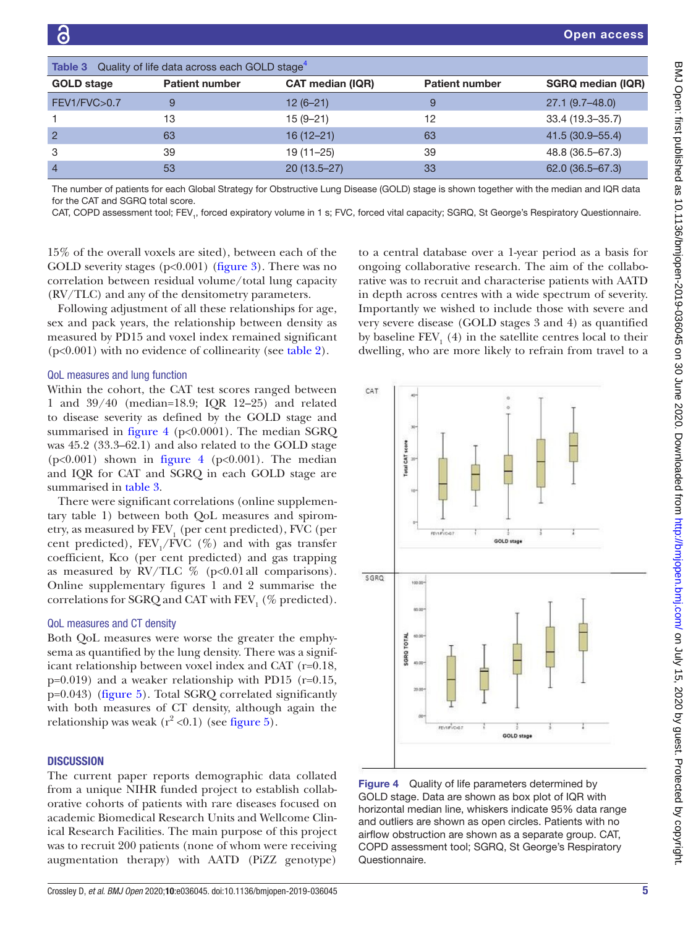<span id="page-4-1"></span>

| <b>Table 3</b> Quality of life data across each GOLD stage <sup>4</sup> |                       |                         |                       |                          |  |  |
|-------------------------------------------------------------------------|-----------------------|-------------------------|-----------------------|--------------------------|--|--|
| <b>GOLD</b> stage                                                       | <b>Patient number</b> | <b>CAT median (IQR)</b> | <b>Patient number</b> | <b>SGRQ median (IQR)</b> |  |  |
| FEV1/FVC>0.7                                                            | 9                     | $12(6-21)$              | 9                     | $27.1(9.7-48.0)$         |  |  |
|                                                                         | 13                    | $15(9 - 21)$            | 12                    | 33.4 (19.3-35.7)         |  |  |
| $\overline{2}$                                                          | 63                    | $16(12 - 21)$           | 63                    | 41.5 (30.9-55.4)         |  |  |
| 3                                                                       | 39                    | $19(11 - 25)$           | 39                    | 48.8 (36.5-67.3)         |  |  |
| $\overline{4}$                                                          | 53                    | $20(13.5 - 27)$         | 33                    | 62.0 (36.5-67.3)         |  |  |

The number of patients for each Global Strategy for Obstructive Lung Disease (GOLD) stage is shown together with the median and IQR data for the CAT and SGRQ total score.

CAT, COPD assessment tool; FEV<sub>1</sub>, forced expiratory volume in 1 s; FVC, forced vital capacity; SGRQ, St George's Respiratory Questionnaire.

15% of the overall voxels are sited), between each of the GOLD severity stages  $(p<0.001)$  ([figure](#page-3-0) 3). There was no correlation between residual volume/total lung capacity (RV/TLC) and any of the densitometry parameters.

Following adjustment of all these relationships for age, sex and pack years, the relationship between density as measured by PD15 and voxel index remained significant (p<0.001) with no evidence of collinearity (see [table](#page-3-1) 2).

#### QoL measures and lung function

Within the cohort, the CAT test scores ranged between 1 and 39/40 (median=18.9; IQR 12–25) and related to disease severity as defined by the GOLD stage and summarised in [figure](#page-4-0) 4 ( $p<0.0001$ ). The median SGRQ was 45.2 (33.3–62.1) and also related to the GOLD stage ( $p<0.001$ ) shown in [figure](#page-4-0) 4 ( $p<0.001$ ). The median and IQR for CAT and SGRQ in each GOLD stage are summarised in [table](#page-4-1) 3.

There were significant correlations [\(online supplemen](https://dx.doi.org/10.1136/bmjopen-2019-036045)[tary table 1](https://dx.doi.org/10.1136/bmjopen-2019-036045)) between both QoL measures and spirometry, as measured by  $\rm FEV_{1}$  (per cent predicted), FVC (per cent predicted),  $FEV_1/FVC$  (%) and with gas transfer coefficient, Kco (per cent predicted) and gas trapping as measured by RV/TLC  $\%$  (p<0.01 all comparisons). [Online supplementary figures 1 and 2](https://dx.doi.org/10.1136/bmjopen-2019-036045) summarise the correlations for SGRQ and CAT with  $\text{FEV}_1$  (% predicted).

## QoL measures and CT density

Both QoL measures were worse the greater the emphysema as quantified by the lung density. There was a significant relationship between voxel index and CAT (r=0.18,  $p=0.019$ ) and a weaker relationship with PD15 (r=0.15, p=0.043) [\(figure](#page-5-0) 5). Total SGRQ correlated significantly with both measures of CT density, although again the relationship was weak  $(r^2 < 0.1)$  (see [figure](#page-5-0) 5).

# **DISCUSSION**

The current paper reports demographic data collated from a unique NIHR funded project to establish collaborative cohorts of patients with rare diseases focused on academic Biomedical Research Units and Wellcome Clinical Research Facilities. The main purpose of this project was to recruit 200 patients (none of whom were receiving augmentation therapy) with AATD (PiZZ genotype)

to a central database over a 1-year period as a basis for ongoing collaborative research. The aim of the collaborative was to recruit and characterise patients with AATD in depth across centres with a wide spectrum of severity. Importantly we wished to include those with severe and very severe disease (GOLD stages 3 and 4) as quantified by baseline  $\mbox{FEV}_1$  (4) in the satellite centres local to their dwelling, who are more likely to refrain from travel to a



<span id="page-4-0"></span>**Figure 4** Quality of life parameters determined by GOLD stage. Data are shown as box plot of IQR with horizontal median line, whiskers indicate 95% data range and outliers are shown as open circles. Patients with no airflow obstruction are shown as a separate group. CAT, COPD assessment tool; SGRQ, St George's Respiratory Questionnaire.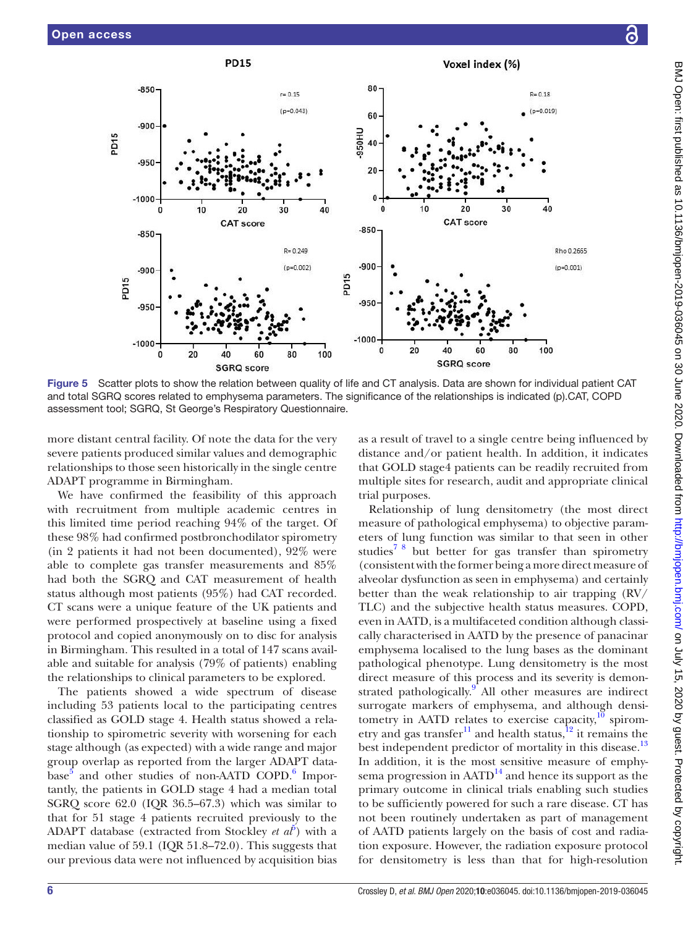

<span id="page-5-0"></span>Figure 5 Scatter plots to show the relation between quality of life and CT analysis. Data are shown for individual patient CAT and total SGRQ scores related to emphysema parameters. The significance of the relationships is indicated (p).CAT, COPD assessment tool; SGRQ, St George's Respiratory Questionnaire.

more distant central facility. Of note the data for the very severe patients produced similar values and demographic relationships to those seen historically in the single centre ADAPT programme in Birmingham.

We have confirmed the feasibility of this approach with recruitment from multiple academic centres in this limited time period reaching 94% of the target. Of these 98% had confirmed postbronchodilator spirometry (in 2 patients it had not been documented), 92% were able to complete gas transfer measurements and 85% had both the SGRQ and CAT measurement of health status although most patients (95%) had CAT recorded. CT scans were a unique feature of the UK patients and were performed prospectively at baseline using a fixed protocol and copied anonymously on to disc for analysis in Birmingham. This resulted in a total of 147 scans available and suitable for analysis (79% of patients) enabling the relationships to clinical parameters to be explored.

The patients showed a wide spectrum of disease including 53 patients local to the participating centres classified as GOLD stage 4. Health status showed a relationship to spirometric severity with worsening for each stage although (as expected) with a wide range and major group overlap as reported from the larger ADAPT database<sup>5</sup> and other studies of non-AATD COPD.<sup>6</sup> Importantly, the patients in GOLD stage 4 had a median total SGRQ score 62.0 (IQR 36.5–67.3) which was similar to that for 51 stage 4 patients recruited previously to the ADAPT database (extracted from Stockley *et al*<sup> $\delta$ </sup>) with a median value of 59.1 (IQR 51.8–72.0). This suggests that our previous data were not influenced by acquisition bias

as a result of travel to a single centre being influenced by distance and/or patient health. In addition, it indicates that GOLD stage4 patients can be readily recruited from multiple sites for research, audit and appropriate clinical trial purposes.

Relationship of lung densitometry (the most direct measure of pathological emphysema) to objective parameters of lung function was similar to that seen in other studies<sup>7</sup> <sup>8</sup> but better for gas transfer than spirometry (consistent with the former being a more direct measure of alveolar dysfunction as seen in emphysema) and certainly better than the weak relationship to air trapping (RV/ TLC) and the subjective health status measures. COPD, even in AATD, is a multifaceted condition although classically characterised in AATD by the presence of panacinar emphysema localised to the lung bases as the dominant pathological phenotype. Lung densitometry is the most direct measure of this process and its severity is demon-strated pathologically.<sup>[9](#page-7-7)</sup> All other measures are indirect surrogate markers of emphysema, and although densitometry in AATD relates to exercise capacity, $\frac{10}{10}$  spirom-etry and gas transfer<sup>[11](#page-7-9)</sup> and health status, $12$  it remains the best independent predictor of mortality in this disease.<sup>[13](#page-7-11)</sup> In addition, it is the most sensitive measure of emphysema progression in  $AATD<sup>14</sup>$  and hence its support as the primary outcome in clinical trials enabling such studies to be sufficiently powered for such a rare disease. CT has not been routinely undertaken as part of management of AATD patients largely on the basis of cost and radiation exposure. However, the radiation exposure protocol for densitometry is less than that for high-resolution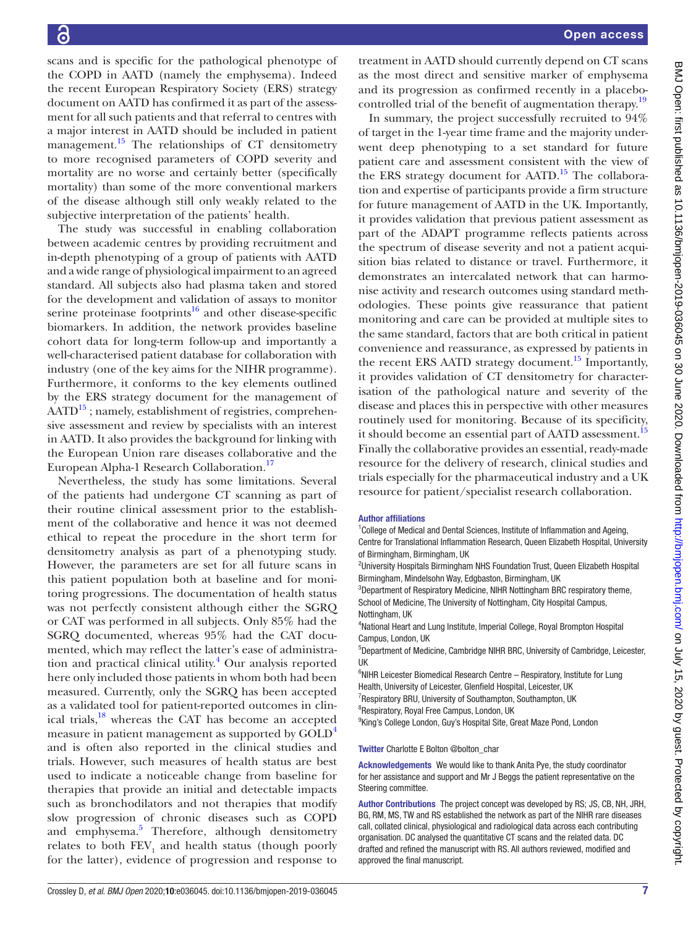scans and is specific for the pathological phenotype of the COPD in AATD (namely the emphysema). Indeed the recent European Respiratory Society (ERS) strategy document on AATD has confirmed it as part of the assessment for all such patients and that referral to centres with a major interest in AATD should be included in patient management. $15$  The relationships of CT densitometry to more recognised parameters of COPD severity and mortality are no worse and certainly better (specifically mortality) than some of the more conventional markers of the disease although still only weakly related to the subjective interpretation of the patients' health.

The study was successful in enabling collaboration between academic centres by providing recruitment and in-depth phenotyping of a group of patients with AATD and a wide range of physiological impairment to an agreed standard. All subjects also had plasma taken and stored for the development and validation of assays to monitor serine proteinase footprints<sup>16</sup> and other disease-specific biomarkers. In addition, the network provides baseline cohort data for long-term follow-up and importantly a well-characterised patient database for collaboration with industry (one of the key aims for the NIHR programme). Furthermore, it conforms to the key elements outlined by the ERS strategy document for the management of  $AATD<sup>15</sup>$ ; namely, establishment of registries, comprehensive assessment and review by specialists with an interest in AATD. It also provides the background for linking with the European Union rare diseases collaborative and the European Alpha-1 Research Collaboration.<sup>[17](#page-7-15)</sup>

Nevertheless, the study has some limitations. Several of the patients had undergone CT scanning as part of their routine clinical assessment prior to the establishment of the collaborative and hence it was not deemed ethical to repeat the procedure in the short term for densitometry analysis as part of a phenotyping study. However, the parameters are set for all future scans in this patient population both at baseline and for monitoring progressions. The documentation of health status was not perfectly consistent although either the SGRQ or CAT was performed in all subjects. Only 85% had the SGRQ documented, whereas 95% had the CAT documented, which may reflect the latter's ease of administra-tion and practical clinical utility.<sup>[4](#page-7-3)</sup> Our analysis reported here only included those patients in whom both had been measured. Currently, only the SGRQ has been accepted as a validated tool for patient-reported outcomes in clinical trials, $^{18}$  whereas the CAT has become an accepted measure in patient management as supported by GOLD<sup>[4](#page-7-3)</sup> and is often also reported in the clinical studies and trials. However, such measures of health status are best used to indicate a noticeable change from baseline for therapies that provide an initial and detectable impacts such as bronchodilators and not therapies that modify slow progression of chronic diseases such as COPD and emphysema.<sup>[5](#page-7-4)</sup> Therefore, although densitometry relates to both  $\text{FEV}_1$  and health status (though poorly for the latter), evidence of progression and response to

treatment in AATD should currently depend on CT scans as the most direct and sensitive marker of emphysema and its progression as confirmed recently in a placebo-controlled trial of the benefit of augmentation therapy.<sup>[19](#page-7-17)</sup>

In summary, the project successfully recruited to 94% of target in the 1-year time frame and the majority underwent deep phenotyping to a set standard for future patient care and assessment consistent with the view of the ERS strategy document for AATD.<sup>15</sup> The collaboration and expertise of participants provide a firm structure for future management of AATD in the UK. Importantly, it provides validation that previous patient assessment as part of the ADAPT programme reflects patients across the spectrum of disease severity and not a patient acquisition bias related to distance or travel. Furthermore, it demonstrates an intercalated network that can harmonise activity and research outcomes using standard methodologies. These points give reassurance that patient monitoring and care can be provided at multiple sites to the same standard, factors that are both critical in patient convenience and reassurance, as expressed by patients in the recent ERS AATD strategy document.<sup>15</sup> Importantly, it provides validation of CT densitometry for characterisation of the pathological nature and severity of the disease and places this in perspective with other measures routinely used for monitoring. Because of its specificity, it should become an essential part of AATD assessment.<sup>[15](#page-7-13)</sup> Finally the collaborative provides an essential, ready-made resource for the delivery of research, clinical studies and trials especially for the pharmaceutical industry and a UK resource for patient/specialist research collaboration.

#### Author affiliations

<sup>1</sup>College of Medical and Dental Sciences, Institute of Inflammation and Ageing, Centre for Translational Inflammation Research, Queen Elizabeth Hospital, University of Birmingham, Birmingham, UK

<sup>2</sup>University Hospitals Birmingham NHS Foundation Trust, Queen Elizabeth Hospital Birmingham, Mindelsohn Way, Edgbaston, Birmingham, UK

<sup>3</sup>Department of Respiratory Medicine, NIHR Nottingham BRC respiratory theme, School of Medicine, The University of Nottingham, City Hospital Campus, Nottingham, UK

<sup>4</sup>National Heart and Lung Institute, Imperial College, Royal Brompton Hospital Campus, London, UK

5 Department of Medicine, Cambridge NIHR BRC, University of Cambridge, Leicester, UK

<sup>6</sup>NIHR Leicester Biomedical Research Centre - Respiratory, Institute for Lung Health, University of Leicester, Glenfield Hospital, Leicester, UK

<sup>7</sup> Respiratory BRU, University of Southampton, Southampton, UK

<sup>8</sup>Respiratory, Royal Free Campus, London, UK

<sup>9</sup>King's College London, Guy's Hospital Site, Great Maze Pond, London

Twitter Charlotte E Bolton [@bolton\\_char](https://twitter.com/bolton_char)

Acknowledgements We would like to thank Anita Pye, the study coordinator for her assistance and support and Mr J Beggs the patient representative on the Steering committee.

Author Contributions The project concept was developed by RS; JS, CB, NH, JRH, BG, RM, MS, TW and RS established the network as part of the NIHR rare diseases call, collated clinical, physiological and radiological data across each contributing organisation. DC analysed the quantitative CT scans and the related data. DC drafted and refined the manuscript with RS. All authors reviewed, modified and approved the final manuscript.